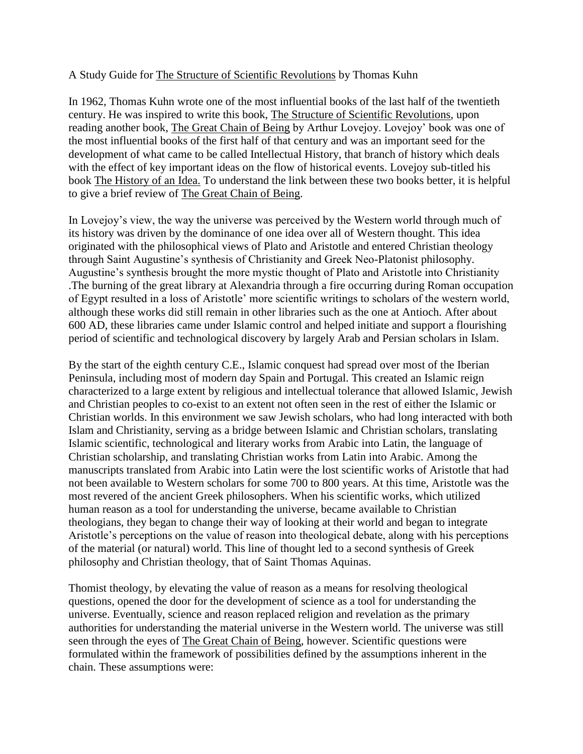## A Study Guide for The Structure of Scientific Revolutions by Thomas Kuhn

In 1962, Thomas Kuhn wrote one of the most influential books of the last half of the twentieth century. He was inspired to write this book, The Structure of Scientific Revolutions, upon reading another book, The Great Chain of Being by Arthur Lovejoy. Lovejoy' book was one of the most influential books of the first half of that century and was an important seed for the development of what came to be called Intellectual History, that branch of history which deals with the effect of key important ideas on the flow of historical events. Lovejoy sub-titled his book The History of an Idea. To understand the link between these two books better, it is helpful to give a brief review of The Great Chain of Being.

In Lovejoy's view, the way the universe was perceived by the Western world through much of its history was driven by the dominance of one idea over all of Western thought. This idea originated with the philosophical views of Plato and Aristotle and entered Christian theology through Saint Augustine's synthesis of Christianity and Greek Neo-Platonist philosophy. Augustine's synthesis brought the more mystic thought of Plato and Aristotle into Christianity .The burning of the great library at Alexandria through a fire occurring during Roman occupation of Egypt resulted in a loss of Aristotle' more scientific writings to scholars of the western world, although these works did still remain in other libraries such as the one at Antioch. After about 600 AD, these libraries came under Islamic control and helped initiate and support a flourishing period of scientific and technological discovery by largely Arab and Persian scholars in Islam.

By the start of the eighth century C.E., Islamic conquest had spread over most of the Iberian Peninsula, including most of modern day Spain and Portugal. This created an Islamic reign characterized to a large extent by religious and intellectual tolerance that allowed Islamic, Jewish and Christian peoples to co-exist to an extent not often seen in the rest of either the Islamic or Christian worlds. In this environment we saw Jewish scholars, who had long interacted with both Islam and Christianity, serving as a bridge between Islamic and Christian scholars, translating Islamic scientific, technological and literary works from Arabic into Latin, the language of Christian scholarship, and translating Christian works from Latin into Arabic. Among the manuscripts translated from Arabic into Latin were the lost scientific works of Aristotle that had not been available to Western scholars for some 700 to 800 years. At this time, Aristotle was the most revered of the ancient Greek philosophers. When his scientific works, which utilized human reason as a tool for understanding the universe, became available to Christian theologians, they began to change their way of looking at their world and began to integrate Aristotle's perceptions on the value of reason into theological debate, along with his perceptions of the material (or natural) world. This line of thought led to a second synthesis of Greek philosophy and Christian theology, that of Saint Thomas Aquinas.

Thomist theology, by elevating the value of reason as a means for resolving theological questions, opened the door for the development of science as a tool for understanding the universe. Eventually, science and reason replaced religion and revelation as the primary authorities for understanding the material universe in the Western world. The universe was still seen through the eyes of The Great Chain of Being, however. Scientific questions were formulated within the framework of possibilities defined by the assumptions inherent in the chain. These assumptions were: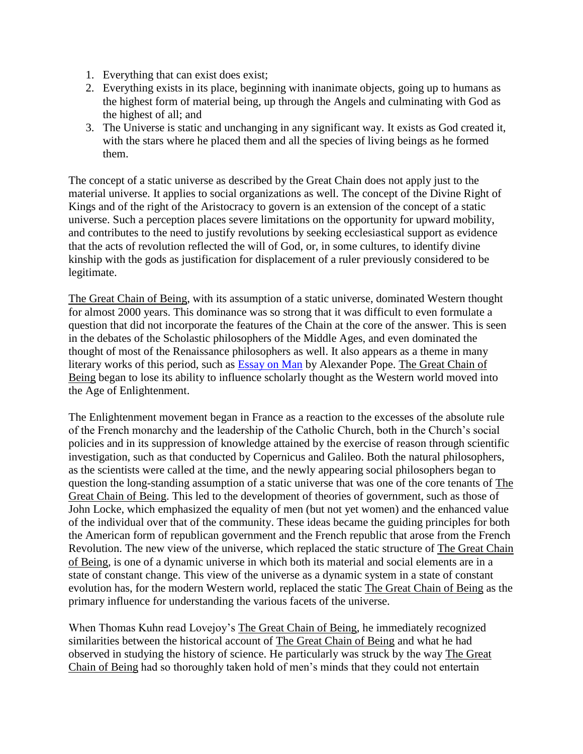- 1. Everything that can exist does exist;
- 2. Everything exists in its place, beginning with inanimate objects, going up to humans as the highest form of material being, up through the Angels and culminating with God as the highest of all; and
- 3. The Universe is static and unchanging in any significant way. It exists as God created it, with the stars where he placed them and all the species of living beings as he formed them.

The concept of a static universe as described by the Great Chain does not apply just to the material universe. It applies to social organizations as well. The concept of the Divine Right of Kings and of the right of the Aristocracy to govern is an extension of the concept of a static universe. Such a perception places severe limitations on the opportunity for upward mobility, and contributes to the need to justify revolutions by seeking ecclesiastical support as evidence that the acts of revolution reflected the will of God, or, in some cultures, to identify divine kinship with the gods as justification for displacement of a ruler previously considered to be legitimate.

The Great Chain of Being, with its assumption of a static universe, dominated Western thought for almost 2000 years. This dominance was so strong that it was difficult to even formulate a question that did not incorporate the features of the Chain at the core of the answer. This is seen in the debates of the Scholastic philosophers of the Middle Ages, and even dominated the thought of most of the Renaissance philosophers as well. It also appears as a theme in many literary works of this period, such as [Essay on Man](http://rpo.library.utoronto.ca/poems/essay-man-epistle-i) by Alexander Pope. The Great Chain of Being began to lose its ability to influence scholarly thought as the Western world moved into the Age of Enlightenment.

The Enlightenment movement began in France as a reaction to the excesses of the absolute rule of the French monarchy and the leadership of the Catholic Church, both in the Church's social policies and in its suppression of knowledge attained by the exercise of reason through scientific investigation, such as that conducted by Copernicus and Galileo. Both the natural philosophers, as the scientists were called at the time, and the newly appearing social philosophers began to question the long-standing assumption of a static universe that was one of the core tenants of The Great Chain of Being. This led to the development of theories of government, such as those of John Locke, which emphasized the equality of men (but not yet women) and the enhanced value of the individual over that of the community. These ideas became the guiding principles for both the American form of republican government and the French republic that arose from the French Revolution. The new view of the universe, which replaced the static structure of The Great Chain of Being, is one of a dynamic universe in which both its material and social elements are in a state of constant change. This view of the universe as a dynamic system in a state of constant evolution has, for the modern Western world, replaced the static The Great Chain of Being as the primary influence for understanding the various facets of the universe.

When Thomas Kuhn read Lovejoy's The Great Chain of Being, he immediately recognized similarities between the historical account of The Great Chain of Being and what he had observed in studying the history of science. He particularly was struck by the way The Great Chain of Being had so thoroughly taken hold of men's minds that they could not entertain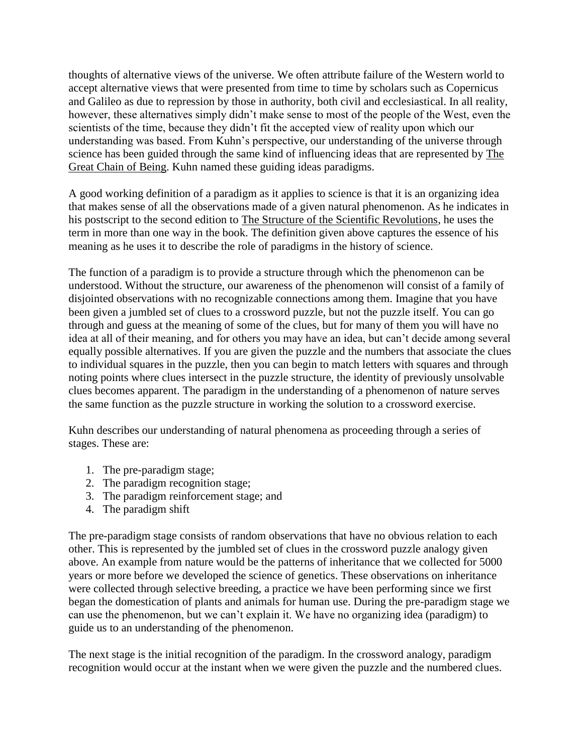thoughts of alternative views of the universe. We often attribute failure of the Western world to accept alternative views that were presented from time to time by scholars such as Copernicus and Galileo as due to repression by those in authority, both civil and ecclesiastical. In all reality, however, these alternatives simply didn't make sense to most of the people of the West, even the scientists of the time, because they didn't fit the accepted view of reality upon which our understanding was based. From Kuhn's perspective, our understanding of the universe through science has been guided through the same kind of influencing ideas that are represented by The Great Chain of Being. Kuhn named these guiding ideas paradigms.

A good working definition of a paradigm as it applies to science is that it is an organizing idea that makes sense of all the observations made of a given natural phenomenon. As he indicates in his postscript to the second edition to The Structure of the Scientific Revolutions, he uses the term in more than one way in the book. The definition given above captures the essence of his meaning as he uses it to describe the role of paradigms in the history of science.

The function of a paradigm is to provide a structure through which the phenomenon can be understood. Without the structure, our awareness of the phenomenon will consist of a family of disjointed observations with no recognizable connections among them. Imagine that you have been given a jumbled set of clues to a crossword puzzle, but not the puzzle itself. You can go through and guess at the meaning of some of the clues, but for many of them you will have no idea at all of their meaning, and for others you may have an idea, but can't decide among several equally possible alternatives. If you are given the puzzle and the numbers that associate the clues to individual squares in the puzzle, then you can begin to match letters with squares and through noting points where clues intersect in the puzzle structure, the identity of previously unsolvable clues becomes apparent. The paradigm in the understanding of a phenomenon of nature serves the same function as the puzzle structure in working the solution to a crossword exercise.

Kuhn describes our understanding of natural phenomena as proceeding through a series of stages. These are:

- 1. The pre-paradigm stage;
- 2. The paradigm recognition stage;
- 3. The paradigm reinforcement stage; and
- 4. The paradigm shift

The pre-paradigm stage consists of random observations that have no obvious relation to each other. This is represented by the jumbled set of clues in the crossword puzzle analogy given above. An example from nature would be the patterns of inheritance that we collected for 5000 years or more before we developed the science of genetics. These observations on inheritance were collected through selective breeding, a practice we have been performing since we first began the domestication of plants and animals for human use. During the pre-paradigm stage we can use the phenomenon, but we can't explain it. We have no organizing idea (paradigm) to guide us to an understanding of the phenomenon.

The next stage is the initial recognition of the paradigm. In the crossword analogy, paradigm recognition would occur at the instant when we were given the puzzle and the numbered clues.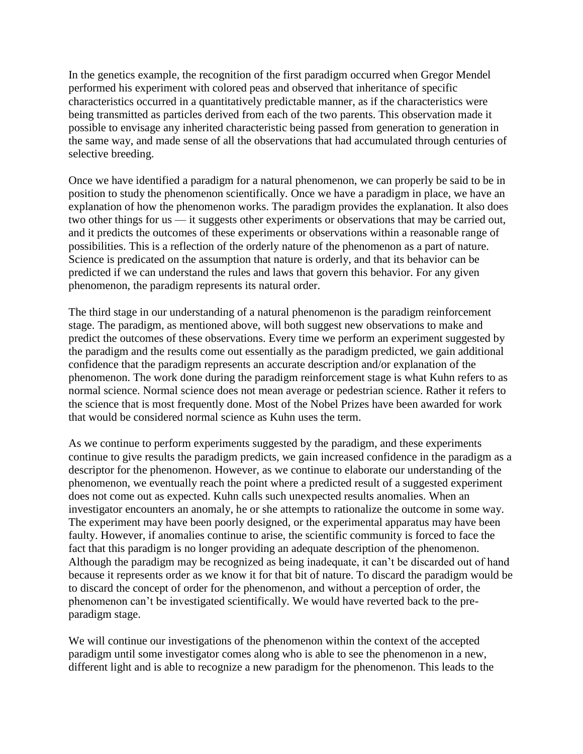In the genetics example, the recognition of the first paradigm occurred when Gregor Mendel performed his experiment with colored peas and observed that inheritance of specific characteristics occurred in a quantitatively predictable manner, as if the characteristics were being transmitted as particles derived from each of the two parents. This observation made it possible to envisage any inherited characteristic being passed from generation to generation in the same way, and made sense of all the observations that had accumulated through centuries of selective breeding.

Once we have identified a paradigm for a natural phenomenon, we can properly be said to be in position to study the phenomenon scientifically. Once we have a paradigm in place, we have an explanation of how the phenomenon works. The paradigm provides the explanation. It also does two other things for us — it suggests other experiments or observations that may be carried out, and it predicts the outcomes of these experiments or observations within a reasonable range of possibilities. This is a reflection of the orderly nature of the phenomenon as a part of nature. Science is predicated on the assumption that nature is orderly, and that its behavior can be predicted if we can understand the rules and laws that govern this behavior. For any given phenomenon, the paradigm represents its natural order.

The third stage in our understanding of a natural phenomenon is the paradigm reinforcement stage. The paradigm, as mentioned above, will both suggest new observations to make and predict the outcomes of these observations. Every time we perform an experiment suggested by the paradigm and the results come out essentially as the paradigm predicted, we gain additional confidence that the paradigm represents an accurate description and/or explanation of the phenomenon. The work done during the paradigm reinforcement stage is what Kuhn refers to as normal science. Normal science does not mean average or pedestrian science. Rather it refers to the science that is most frequently done. Most of the Nobel Prizes have been awarded for work that would be considered normal science as Kuhn uses the term.

As we continue to perform experiments suggested by the paradigm, and these experiments continue to give results the paradigm predicts, we gain increased confidence in the paradigm as a descriptor for the phenomenon. However, as we continue to elaborate our understanding of the phenomenon, we eventually reach the point where a predicted result of a suggested experiment does not come out as expected. Kuhn calls such unexpected results anomalies. When an investigator encounters an anomaly, he or she attempts to rationalize the outcome in some way. The experiment may have been poorly designed, or the experimental apparatus may have been faulty. However, if anomalies continue to arise, the scientific community is forced to face the fact that this paradigm is no longer providing an adequate description of the phenomenon. Although the paradigm may be recognized as being inadequate, it can't be discarded out of hand because it represents order as we know it for that bit of nature. To discard the paradigm would be to discard the concept of order for the phenomenon, and without a perception of order, the phenomenon can't be investigated scientifically. We would have reverted back to the preparadigm stage.

We will continue our investigations of the phenomenon within the context of the accepted paradigm until some investigator comes along who is able to see the phenomenon in a new, different light and is able to recognize a new paradigm for the phenomenon. This leads to the